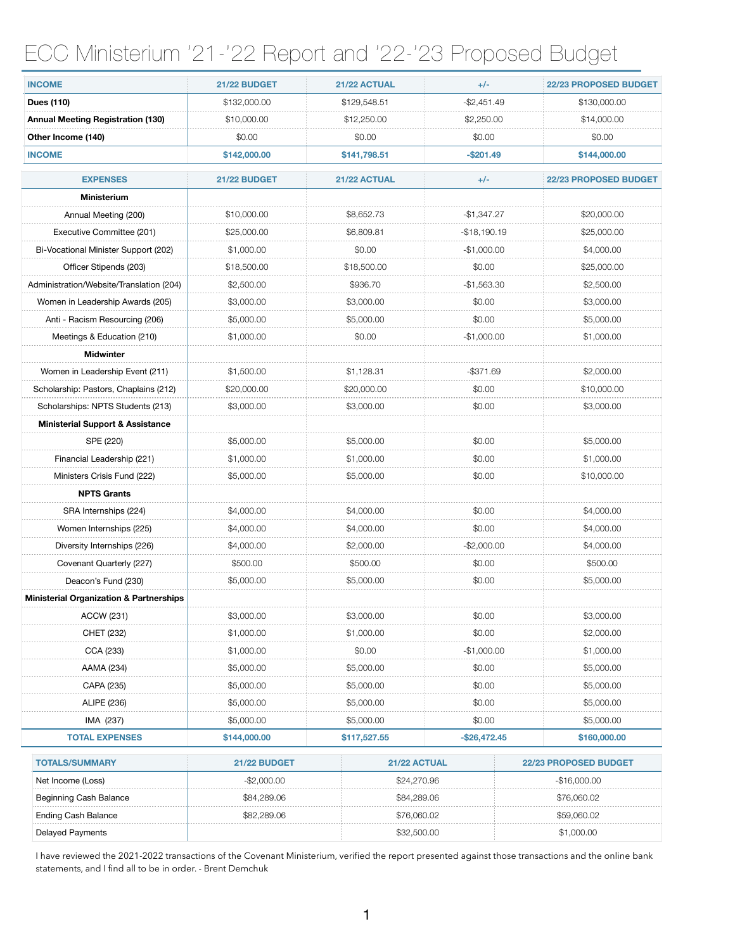## ECC Ministerium '21-'22 Report and '22-'23 Proposed Budget

| <b>INCOME</b>                                      | 21/22 BUDGET | 21/22 ACTUAL | $+/-$         | 22/23 PROPOSED BUDGET |
|----------------------------------------------------|--------------|--------------|---------------|-----------------------|
| Dues (110)                                         | \$132,000.00 | \$129,548.51 | $-$2,451.49$  | \$130,000.00          |
| <b>Annual Meeting Registration (130)</b>           | \$10,000.00  | \$12,250.00  | \$2,250.00    | \$14,000.00           |
| Other Income (140)                                 | \$0.00       | \$0.00       | \$0.00        | \$0.00                |
| <b>INCOME</b>                                      | \$142,000.00 | \$141,798.51 | $-$ \$201.49  | \$144,000.00          |
| <b>EXPENSES</b>                                    | 21/22 BUDGET | 21/22 ACTUAL | $+/-$         | 22/23 PROPOSED BUDGET |
| <b>Ministerium</b>                                 |              |              |               |                       |
| Annual Meeting (200)                               | \$10,000.00  | \$8,652.73   | $-$1,347.27$  | \$20,000.00           |
| Executive Committee (201)                          | \$25,000.00  | \$6,809.81   | $-$18,190.19$ | \$25,000.00           |
| Bi-Vocational Minister Support (202)               | \$1,000.00   | \$0.00       | $-$1,000.00$  | \$4,000.00            |
| Officer Stipends (203)                             | \$18,500.00  | \$18,500.00  | \$0.00        | \$25,000.00           |
| Administration/Website/Translation (204)           | \$2,500.00   | \$936.70     | $-$1,563.30$  | \$2,500.00            |
| Women in Leadership Awards (205)                   | \$3,000.00   | \$3,000.00   | \$0.00        | \$3,000.00            |
| Anti - Racism Resourcing (206)                     | \$5,000.00   | \$5,000.00   | \$0.00        | \$5,000.00            |
| Meetings & Education (210)                         | \$1,000.00   | \$0.00       | $-$1,000.00$  | \$1,000.00            |
| <b>Midwinter</b>                                   |              |              |               |                       |
| Women in Leadership Event (211)                    | \$1,500.00   | \$1,128.31   | -\$371.69     | \$2,000.00            |
| Scholarship: Pastors, Chaplains (212)              | \$20,000.00  | \$20,000.00  | \$0.00        | \$10,000.00           |
| Scholarships: NPTS Students (213)                  | \$3,000.00   | \$3,000.00   | \$0.00        | \$3,000.00            |
| <b>Ministerial Support &amp; Assistance</b>        |              |              |               |                       |
| SPE (220)                                          | \$5,000.00   | \$5,000.00   | \$0.00        | \$5,000.00            |
| Financial Leadership (221)                         | \$1,000.00   | \$1,000.00   | \$0.00        | \$1,000.00            |
| Ministers Crisis Fund (222)                        | \$5,000.00   | \$5,000.00   | \$0.00        | \$10,000.00           |
| <b>NPTS Grants</b>                                 |              |              |               |                       |
| SRA Internships (224)                              | \$4,000.00   | \$4,000.00   | \$0.00        | \$4,000.00            |
| Women Internships (225)                            | \$4,000.00   | \$4,000.00   | \$0.00        | \$4,000.00            |
| Diversity Internships (226)                        | \$4,000.00   | \$2,000.00   | $-$2,000.00$  | \$4,000.00            |
| Covenant Quarterly (227)                           | \$500.00     | \$500.00     | \$0.00        | \$500.00              |
| Deacon's Fund (230)                                | \$5,000.00   | \$5,000.00   | \$0.00        | \$5,000.00            |
| <b>Ministerial Organization &amp; Partnerships</b> |              |              |               |                       |
| <b>ACCW (231)</b>                                  | \$3,000.00   | \$3,000.00   | \$0.00        | \$3,000.00            |
| CHET (232)                                         | \$1,000.00   | \$1,000.00   | \$0.00        | \$2,000.00            |
| CCA (233)                                          | \$1,000.00   | \$0.00       | -\$1,000.00   | \$1,000.00            |
| AAMA (234)                                         | \$5,000.00   | \$5,000.00   | \$0.00        | \$5,000.00            |
| CAPA (235)                                         | \$5,000.00   | \$5,000.00   | \$0.00        | \$5,000.00            |
| ALIPE (236)                                        | \$5,000.00   | \$5,000.00   | \$0.00        | \$5,000.00            |
| IMA (237)                                          | \$5,000.00   | \$5,000.00   | \$0.00        | \$5,000.00            |
| <b>TOTAL EXPENSES</b>                              | \$144,000.00 | \$117,527.55 | $-$26,472.45$ | \$160,000.00          |
| <b>TOTALS/SUMMARY</b>                              | 21/22 BUDGET | 21/22 ACTUAL |               | 22/23 PROPOSED BUDGET |
| Net Income (Loss)                                  | $-$2,000.00$ | \$24,270.96  |               | $-$16,000.00$         |
| Beginning Cash Balance                             | \$84,289.06  | \$84,289.06  |               | \$76,060.02           |
| <b>Ending Cash Balance</b>                         | \$82,289.06  | \$76,060.02  |               | \$59,060.02           |
| <b>Delayed Payments</b>                            |              | \$32,500.00  |               | \$1,000.00            |

I have reviewed the 2021-2022 transactions of the Covenant Ministerium, verified the report presented against those transactions and the online bank statements, and I find all to be in order. - Brent Demchuk